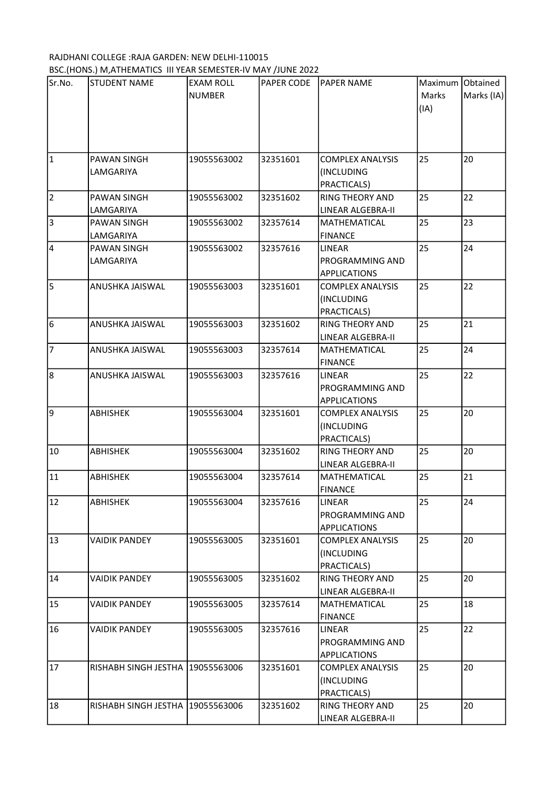## RAJDHANI COLLEGE :RAJA GARDEN: NEW DELHI-110015

| Sr.No. | <b>STUDENT NAME</b>              | <b>EXAM ROLL</b> | PAPER CODE | <b>PAPER NAME</b>       | Maximum Obtained |            |
|--------|----------------------------------|------------------|------------|-------------------------|------------------|------------|
|        |                                  | <b>NUMBER</b>    |            |                         | Marks            | Marks (IA) |
|        |                                  |                  |            |                         | (IA)             |            |
|        |                                  |                  |            |                         |                  |            |
|        |                                  |                  |            |                         |                  |            |
|        |                                  |                  |            |                         |                  |            |
| 1      | PAWAN SINGH                      | 19055563002      | 32351601   | <b>COMPLEX ANALYSIS</b> | 25               | 20         |
|        | LAMGARIYA                        |                  |            | (INCLUDING              |                  |            |
|        |                                  |                  |            | PRACTICALS)             |                  |            |
| 2      | PAWAN SINGH                      | 19055563002      | 32351602   | <b>RING THEORY AND</b>  | 25               | 22         |
|        | LAMGARIYA                        |                  |            | LINEAR ALGEBRA-II       |                  |            |
| Iз     | PAWAN SINGH                      | 19055563002      | 32357614   | MATHEMATICAL            | 25               | 23         |
|        | LAMGARIYA                        |                  |            | <b>FINANCE</b>          |                  |            |
| 4      | PAWAN SINGH                      | 19055563002      | 32357616   | <b>LINEAR</b>           | 25               | 24         |
|        | LAMGARIYA                        |                  |            | PROGRAMMING AND         |                  |            |
|        |                                  |                  |            | <b>APPLICATIONS</b>     |                  |            |
| 5      | ANUSHKA JAISWAL                  | 19055563003      | 32351601   | <b>COMPLEX ANALYSIS</b> | 25               | 22         |
|        |                                  |                  |            | (INCLUDING              |                  |            |
|        |                                  |                  |            | PRACTICALS)             |                  |            |
| 6      | ANUSHKA JAISWAL                  | 19055563003      | 32351602   | <b>RING THEORY AND</b>  | 25               | 21         |
|        |                                  |                  |            | LINEAR ALGEBRA-II       |                  |            |
| 7      | ANUSHKA JAISWAL                  | 19055563003      | 32357614   | MATHEMATICAL            | 25               | 24         |
|        |                                  |                  |            | <b>FINANCE</b>          |                  |            |
| 8      | ANUSHKA JAISWAL                  | 19055563003      | 32357616   | LINEAR                  | 25               | 22         |
|        |                                  |                  |            | PROGRAMMING AND         |                  |            |
|        |                                  |                  |            | <b>APPLICATIONS</b>     |                  |            |
| 9      | ABHISHEK                         | 19055563004      | 32351601   | <b>COMPLEX ANALYSIS</b> | 25               | 20         |
|        |                                  |                  |            | (INCLUDING              |                  |            |
|        |                                  |                  |            | PRACTICALS)             |                  |            |
| 10     | <b>ABHISHEK</b>                  | 19055563004      | 32351602   | <b>RING THEORY AND</b>  | 25               | 20         |
|        |                                  |                  |            | LINEAR ALGEBRA-II       |                  |            |
| 11     | <b>ABHISHEK</b>                  | 19055563004      | 32357614   | MATHEMATICAL            | 25               | 21         |
|        |                                  |                  |            | <b>FINANCE</b>          |                  |            |
| 12     | ABHISHEK                         | 19055563004      | 32357616   | LINEAR                  | 25               | 24         |
|        |                                  |                  |            | PROGRAMMING AND         |                  |            |
|        |                                  |                  |            | <b>APPLICATIONS</b>     |                  |            |
| 13     | <b>VAIDIK PANDEY</b>             | 19055563005      | 32351601   | <b>COMPLEX ANALYSIS</b> | 25               | 20         |
|        |                                  |                  |            | (INCLUDING              |                  |            |
|        |                                  |                  |            | PRACTICALS)             |                  |            |
| 14     | <b>VAIDIK PANDEY</b>             | 19055563005      | 32351602   | RING THEORY AND         | 25               | 20         |
|        |                                  |                  |            | LINEAR ALGEBRA-II       |                  |            |
| 15     | <b>VAIDIK PANDEY</b>             | 19055563005      | 32357614   | <b>MATHEMATICAL</b>     | 25               | 18         |
|        |                                  |                  |            | <b>FINANCE</b>          |                  |            |
| 16     | <b>VAIDIK PANDEY</b>             | 19055563005      | 32357616   | LINEAR                  | 25               | 22         |
|        |                                  |                  |            | PROGRAMMING AND         |                  |            |
|        |                                  |                  |            |                         |                  |            |
| 17     |                                  |                  |            | <b>APPLICATIONS</b>     | 25               | 20         |
|        | RISHABH SINGH JESTHA 19055563006 |                  | 32351601   | <b>COMPLEX ANALYSIS</b> |                  |            |
|        |                                  |                  |            | (INCLUDING              |                  |            |
| 18     |                                  |                  |            | PRACTICALS)             | 25               | 20         |
|        | RISHABH SINGH JESTHA 19055563006 |                  | 32351602   | <b>RING THEORY AND</b>  |                  |            |
|        |                                  |                  |            | LINEAR ALGEBRA-II       |                  |            |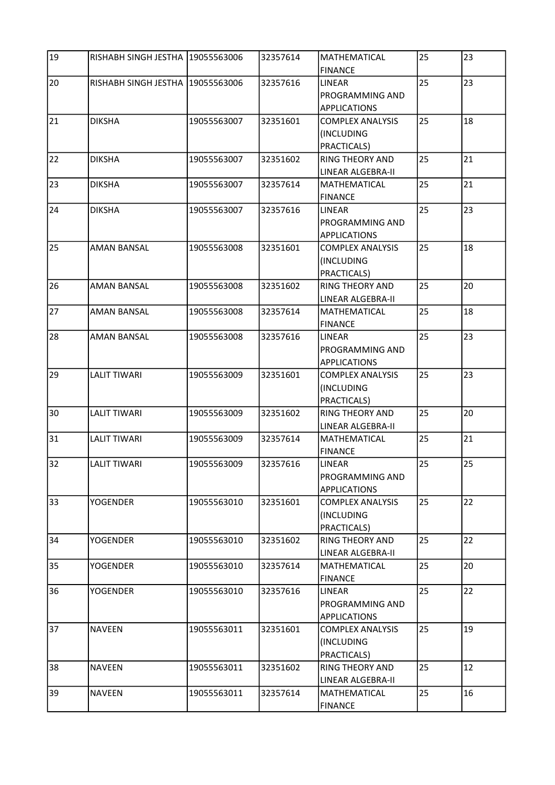| 19 | RISHABH SINGH JESTHA 19055563006 |             | 32357614 | MATHEMATICAL            | 25 | 23 |
|----|----------------------------------|-------------|----------|-------------------------|----|----|
|    |                                  |             |          | <b>FINANCE</b>          |    |    |
| 20 | RISHABH SINGH JESTHA 19055563006 |             | 32357616 | <b>LINEAR</b>           | 25 | 23 |
|    |                                  |             |          | PROGRAMMING AND         |    |    |
|    |                                  |             |          | <b>APPLICATIONS</b>     |    |    |
| 21 | <b>DIKSHA</b>                    | 19055563007 | 32351601 | <b>COMPLEX ANALYSIS</b> | 25 | 18 |
|    |                                  |             |          | (INCLUDING              |    |    |
|    |                                  |             |          | PRACTICALS)             |    |    |
| 22 | <b>DIKSHA</b>                    | 19055563007 | 32351602 | <b>RING THEORY AND</b>  | 25 | 21 |
|    |                                  |             |          | LINEAR ALGEBRA-II       |    |    |
| 23 | <b>DIKSHA</b>                    | 19055563007 | 32357614 | MATHEMATICAL            | 25 | 21 |
|    |                                  |             |          | <b>FINANCE</b>          |    |    |
| 24 | <b>DIKSHA</b>                    | 19055563007 | 32357616 | LINEAR                  | 25 | 23 |
|    |                                  |             |          | PROGRAMMING AND         |    |    |
|    |                                  |             |          | <b>APPLICATIONS</b>     |    |    |
| 25 | <b>AMAN BANSAL</b>               | 19055563008 | 32351601 | <b>COMPLEX ANALYSIS</b> | 25 | 18 |
|    |                                  |             |          | (INCLUDING              |    |    |
|    |                                  |             |          | PRACTICALS)             |    |    |
| 26 | <b>AMAN BANSAL</b>               | 19055563008 | 32351602 | <b>RING THEORY AND</b>  | 25 | 20 |
|    |                                  |             |          | LINEAR ALGEBRA-II       |    |    |
| 27 | AMAN BANSAL                      | 19055563008 | 32357614 | MATHEMATICAL            | 25 | 18 |
|    |                                  |             |          | <b>FINANCE</b>          |    |    |
| 28 | <b>AMAN BANSAL</b>               | 19055563008 | 32357616 | <b>LINEAR</b>           | 25 | 23 |
|    |                                  |             |          | PROGRAMMING AND         |    |    |
|    |                                  |             |          | <b>APPLICATIONS</b>     |    |    |
| 29 | <b>LALIT TIWARI</b>              | 19055563009 | 32351601 | <b>COMPLEX ANALYSIS</b> | 25 | 23 |
|    |                                  |             |          | (INCLUDING              |    |    |
|    |                                  |             |          | PRACTICALS)             |    |    |
| 30 | <b>LALIT TIWARI</b>              | 19055563009 | 32351602 | RING THEORY AND         | 25 | 20 |
|    |                                  |             |          | LINEAR ALGEBRA-II       |    |    |
| 31 | <b>LALIT TIWARI</b>              | 19055563009 | 32357614 | MATHEMATICAL            | 25 | 21 |
|    |                                  |             |          | <b>FINANCE</b>          |    |    |
| 32 | LALIT TIWARI                     | 19055563009 | 32357616 | LINEAR                  | 25 | 25 |
|    |                                  |             |          | PROGRAMMING AND         |    |    |
|    |                                  |             |          | <b>APPLICATIONS</b>     |    |    |
| 33 | <b>YOGENDER</b>                  | 19055563010 | 32351601 | <b>COMPLEX ANALYSIS</b> | 25 | 22 |
|    |                                  |             |          | (INCLUDING              |    |    |
|    |                                  |             |          | PRACTICALS)             |    |    |
| 34 | <b>YOGENDER</b>                  | 19055563010 | 32351602 | <b>RING THEORY AND</b>  | 25 | 22 |
|    |                                  |             |          | LINEAR ALGEBRA-II       |    |    |
| 35 | <b>YOGENDER</b>                  | 19055563010 | 32357614 | MATHEMATICAL            | 25 | 20 |
|    |                                  |             |          | <b>FINANCE</b>          |    |    |
| 36 | <b>YOGENDER</b>                  | 19055563010 | 32357616 | <b>LINEAR</b>           | 25 | 22 |
|    |                                  |             |          | PROGRAMMING AND         |    |    |
|    |                                  |             |          | <b>APPLICATIONS</b>     |    |    |
| 37 | <b>NAVEEN</b>                    | 19055563011 | 32351601 | <b>COMPLEX ANALYSIS</b> | 25 | 19 |
|    |                                  |             |          | (INCLUDING              |    |    |
|    |                                  |             |          | PRACTICALS)             |    |    |
| 38 | <b>NAVEEN</b>                    | 19055563011 | 32351602 | <b>RING THEORY AND</b>  | 25 | 12 |
|    |                                  |             |          | LINEAR ALGEBRA-II       |    |    |
| 39 | <b>NAVEEN</b>                    | 19055563011 | 32357614 | MATHEMATICAL            | 25 | 16 |
|    |                                  |             |          | <b>FINANCE</b>          |    |    |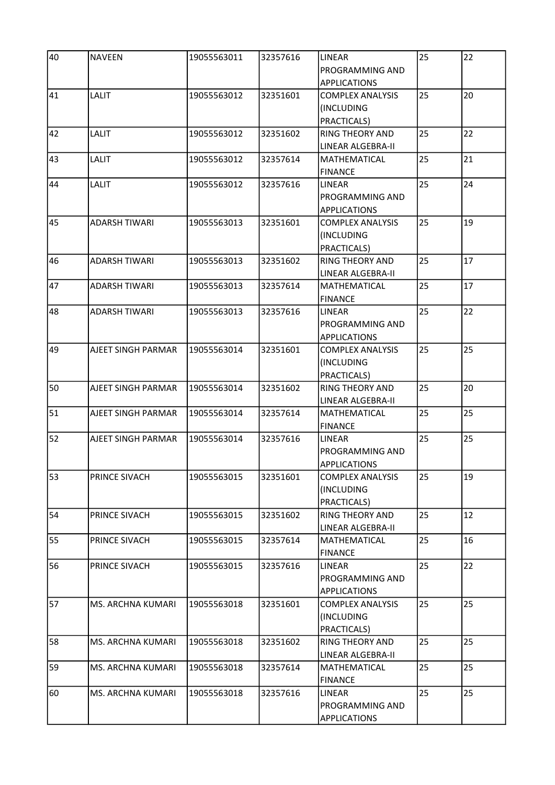| 40 | <b>NAVEEN</b>        | 19055563011 | 32357616 | LINEAR<br>PROGRAMMING AND                                                   | 25 | 22 |
|----|----------------------|-------------|----------|-----------------------------------------------------------------------------|----|----|
| 41 | <b>LALIT</b>         | 19055563012 | 32351601 | <b>APPLICATIONS</b><br><b>COMPLEX ANALYSIS</b><br>(INCLUDING<br>PRACTICALS) | 25 | 20 |
| 42 | LALIT                | 19055563012 | 32351602 | RING THEORY AND<br><b>LINEAR ALGEBRA-II</b>                                 | 25 | 22 |
| 43 | LALIT                | 19055563012 | 32357614 | <b>MATHEMATICAL</b><br><b>FINANCE</b>                                       | 25 | 21 |
| 44 | <b>LALIT</b>         | 19055563012 | 32357616 | <b>LINEAR</b><br><b>PROGRAMMING AND</b><br><b>APPLICATIONS</b>              | 25 | 24 |
| 45 | <b>ADARSH TIWARI</b> | 19055563013 | 32351601 | <b>COMPLEX ANALYSIS</b><br>(INCLUDING<br>PRACTICALS)                        | 25 | 19 |
| 46 | ADARSH TIWARI        | 19055563013 | 32351602 | <b>RING THEORY AND</b><br>LINEAR ALGEBRA-II                                 | 25 | 17 |
| 47 | <b>ADARSH TIWARI</b> | 19055563013 | 32357614 | MATHEMATICAL<br><b>FINANCE</b>                                              | 25 | 17 |
| 48 | ADARSH TIWARI        | 19055563013 | 32357616 | LINEAR<br>PROGRAMMING AND<br><b>APPLICATIONS</b>                            | 25 | 22 |
| 49 | AJEET SINGH PARMAR   | 19055563014 | 32351601 | <b>COMPLEX ANALYSIS</b><br>(INCLUDING<br>PRACTICALS)                        | 25 | 25 |
| 50 | AJEET SINGH PARMAR   | 19055563014 | 32351602 | <b>RING THEORY AND</b><br>LINEAR ALGEBRA-II                                 | 25 | 20 |
| 51 | AJEET SINGH PARMAR   | 19055563014 | 32357614 | MATHEMATICAL<br><b>FINANCE</b>                                              | 25 | 25 |
| 52 | AJEET SINGH PARMAR   | 19055563014 | 32357616 | <b>LINEAR</b><br>PROGRAMMING AND<br><b>APPLICATIONS</b>                     | 25 | 25 |
| 53 | PRINCE SIVACH        | 19055563015 | 32351601 | <b>COMPLEX ANALYSIS</b><br>(INCLUDING<br>PRACTICALS)                        | 25 | 19 |
| 54 | PRINCE SIVACH        | 19055563015 | 32351602 | <b>RING THEORY AND</b><br>LINEAR ALGEBRA-II                                 | 25 | 12 |
| 55 | PRINCE SIVACH        | 19055563015 | 32357614 | MATHEMATICAL<br><b>FINANCE</b>                                              | 25 | 16 |
| 56 | PRINCE SIVACH        | 19055563015 | 32357616 | LINEAR<br>PROGRAMMING AND<br><b>APPLICATIONS</b>                            | 25 | 22 |
| 57 | MS. ARCHNA KUMARI    | 19055563018 | 32351601 | <b>COMPLEX ANALYSIS</b><br>(INCLUDING<br>PRACTICALS)                        | 25 | 25 |
| 58 | MS. ARCHNA KUMARI    | 19055563018 | 32351602 | <b>RING THEORY AND</b><br>LINEAR ALGEBRA-II                                 | 25 | 25 |
| 59 | MS. ARCHNA KUMARI    | 19055563018 | 32357614 | MATHEMATICAL<br><b>FINANCE</b>                                              | 25 | 25 |
| 60 | MS. ARCHNA KUMARI    | 19055563018 | 32357616 | LINEAR<br>PROGRAMMING AND<br><b>APPLICATIONS</b>                            | 25 | 25 |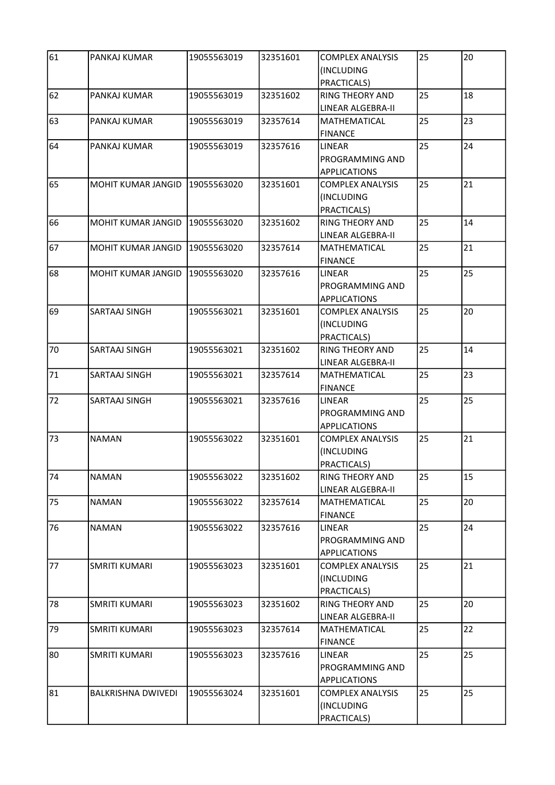| 61 | PANKAJ KUMAR              | 19055563019 | 32351601 | <b>COMPLEX ANALYSIS</b>          | 25 | 20 |
|----|---------------------------|-------------|----------|----------------------------------|----|----|
|    |                           |             |          | (INCLUDING<br>PRACTICALS)        |    |    |
| 62 | PANKAJ KUMAR              | 19055563019 | 32351602 | <b>RING THEORY AND</b>           | 25 | 18 |
|    |                           |             |          | LINEAR ALGEBRA-II                |    |    |
| 63 | PANKAJ KUMAR              | 19055563019 | 32357614 | MATHEMATICAL                     | 25 | 23 |
|    |                           |             |          | <b>FINANCE</b>                   |    |    |
| 64 | PANKAJ KUMAR              | 19055563019 | 32357616 | <b>LINEAR</b>                    | 25 | 24 |
|    |                           |             |          | PROGRAMMING AND                  |    |    |
|    |                           |             |          | <b>APPLICATIONS</b>              |    |    |
| 65 | <b>MOHIT KUMAR JANGID</b> | 19055563020 | 32351601 | <b>COMPLEX ANALYSIS</b>          | 25 | 21 |
|    |                           |             |          | (INCLUDING                       |    |    |
|    |                           |             |          | PRACTICALS)                      |    |    |
| 66 | MOHIT KUMAR JANGID        | 19055563020 | 32351602 | <b>RING THEORY AND</b>           | 25 | 14 |
|    |                           |             |          | LINEAR ALGEBRA-II                |    |    |
| 67 | MOHIT KUMAR JANGID        | 19055563020 | 32357614 | MATHEMATICAL                     | 25 | 21 |
|    |                           |             |          | <b>FINANCE</b>                   |    |    |
| 68 | MOHIT KUMAR JANGID        | 19055563020 | 32357616 | LINEAR                           | 25 | 25 |
|    |                           |             |          | PROGRAMMING AND                  |    |    |
|    |                           |             |          | <b>APPLICATIONS</b>              |    |    |
| 69 | SARTAAJ SINGH             | 19055563021 | 32351601 | <b>COMPLEX ANALYSIS</b>          | 25 | 20 |
|    |                           |             |          | (INCLUDING                       |    |    |
|    |                           |             |          | PRACTICALS)                      |    |    |
| 70 | SARTAAJ SINGH             | 19055563021 | 32351602 | <b>RING THEORY AND</b>           | 25 | 14 |
|    |                           |             |          | LINEAR ALGEBRA-II                |    |    |
| 71 | SARTAAJ SINGH             | 19055563021 | 32357614 | MATHEMATICAL                     | 25 | 23 |
|    |                           |             |          | <b>FINANCE</b>                   |    | 25 |
| 72 | SARTAAJ SINGH             | 19055563021 | 32357616 | LINEAR<br><b>PROGRAMMING AND</b> | 25 |    |
|    |                           |             |          | <b>APPLICATIONS</b>              |    |    |
| 73 | <b>NAMAN</b>              | 19055563022 | 32351601 | <b>COMPLEX ANALYSIS</b>          | 25 | 21 |
|    |                           |             |          | (INCLUDING                       |    |    |
|    |                           |             |          | PRACTICALS)                      |    |    |
| 74 | <b>NAMAN</b>              | 19055563022 | 32351602 | RING THEORY AND                  | 25 | 15 |
|    |                           |             |          | LINEAR ALGEBRA-II                |    |    |
| 75 | <b>NAMAN</b>              | 19055563022 | 32357614 | MATHEMATICAL                     | 25 | 20 |
|    |                           |             |          | <b>FINANCE</b>                   |    |    |
| 76 | <b>NAMAN</b>              | 19055563022 | 32357616 | LINEAR                           | 25 | 24 |
|    |                           |             |          | PROGRAMMING AND                  |    |    |
|    |                           |             |          | <b>APPLICATIONS</b>              |    |    |
| 77 | <b>SMRITI KUMARI</b>      | 19055563023 | 32351601 | COMPLEX ANALYSIS                 | 25 | 21 |
|    |                           |             |          | (INCLUDING                       |    |    |
|    |                           |             |          | PRACTICALS)                      |    |    |
| 78 | <b>SMRITI KUMARI</b>      | 19055563023 | 32351602 | <b>RING THEORY AND</b>           | 25 | 20 |
|    |                           |             |          | LINEAR ALGEBRA-II                |    |    |
| 79 | SMRITI KUMARI             | 19055563023 | 32357614 | MATHEMATICAL                     | 25 | 22 |
|    |                           |             |          | <b>FINANCE</b>                   |    |    |
| 80 | SMRITI KUMARI             | 19055563023 | 32357616 | LINEAR                           | 25 | 25 |
|    |                           |             |          | PROGRAMMING AND                  |    |    |
|    |                           |             |          | <b>APPLICATIONS</b>              |    |    |
| 81 | <b>BALKRISHNA DWIVEDI</b> | 19055563024 | 32351601 | <b>COMPLEX ANALYSIS</b>          | 25 | 25 |
|    |                           |             |          | (INCLUDING                       |    |    |
|    |                           |             |          | PRACTICALS)                      |    |    |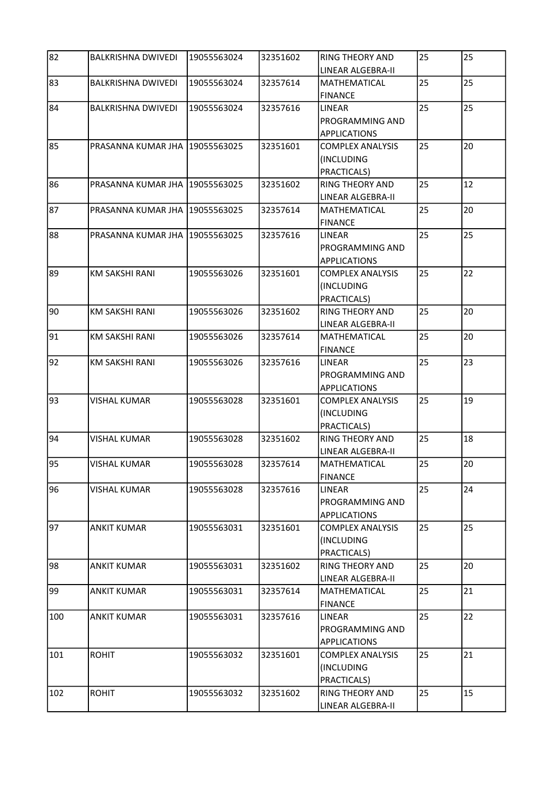| 82  | <b>BALKRISHNA DWIVEDI</b>        | 19055563024 | 32351602 | <b>RING THEORY AND</b><br>LINEAR ALGEBRA-II                    | 25 | 25 |
|-----|----------------------------------|-------------|----------|----------------------------------------------------------------|----|----|
| 83  | <b>BALKRISHNA DWIVEDI</b>        | 19055563024 | 32357614 | <b>MATHEMATICAL</b><br><b>FINANCE</b>                          | 25 | 25 |
| 84  | <b>BALKRISHNA DWIVEDI</b>        | 19055563024 | 32357616 | <b>LINEAR</b><br><b>PROGRAMMING AND</b><br><b>APPLICATIONS</b> | 25 | 25 |
| 85  | PRASANNA KUMAR JHA   19055563025 |             | 32351601 | <b>COMPLEX ANALYSIS</b><br>(INCLUDING<br>PRACTICALS)           | 25 | 20 |
| 86  | PRASANNA KUMAR JHA   19055563025 |             | 32351602 | <b>RING THEORY AND</b><br>LINEAR ALGEBRA-II                    | 25 | 12 |
| 87  | PRASANNA KUMAR JHA 19055563025   |             | 32357614 | MATHEMATICAL<br><b>FINANCE</b>                                 | 25 | 20 |
| 88  | PRASANNA KUMAR JHA 19055563025   |             | 32357616 | LINEAR<br>PROGRAMMING AND<br><b>APPLICATIONS</b>               | 25 | 25 |
| 89  | <b>KM SAKSHI RANI</b>            | 19055563026 | 32351601 | <b>COMPLEX ANALYSIS</b><br>(INCLUDING<br>PRACTICALS)           | 25 | 22 |
| 90  | <b>KM SAKSHI RANI</b>            | 19055563026 | 32351602 | <b>RING THEORY AND</b><br>LINEAR ALGEBRA-II                    | 25 | 20 |
| 91  | <b>KM SAKSHI RANI</b>            | 19055563026 | 32357614 | MATHEMATICAL<br><b>FINANCE</b>                                 | 25 | 20 |
| 92  | <b>KM SAKSHI RANI</b>            | 19055563026 | 32357616 | LINEAR<br>PROGRAMMING AND<br><b>APPLICATIONS</b>               | 25 | 23 |
| 93  | <b>VISHAL KUMAR</b>              | 19055563028 | 32351601 | <b>COMPLEX ANALYSIS</b><br>(INCLUDING<br>PRACTICALS)           | 25 | 19 |
| 94  | <b>VISHAL KUMAR</b>              | 19055563028 | 32351602 | <b>RING THEORY AND</b><br>LINEAR ALGEBRA-II                    | 25 | 18 |
| 195 | <b>VISHAL KUMAR</b>              | 19055563028 | 32357614 | MATHEMATICAL<br><b>FINANCE</b>                                 | 25 | 20 |
| 96  | <b>VISHAL KUMAR</b>              | 19055563028 | 32357616 | LINEAR<br>PROGRAMMING AND<br><b>APPLICATIONS</b>               | 25 | 24 |
| 97  | <b>ANKIT KUMAR</b>               | 19055563031 | 32351601 | <b>COMPLEX ANALYSIS</b><br>(INCLUDING<br>PRACTICALS)           | 25 | 25 |
| 98  | <b>ANKIT KUMAR</b>               | 19055563031 | 32351602 | <b>RING THEORY AND</b><br>LINEAR ALGEBRA-II                    | 25 | 20 |
| 99  | <b>ANKIT KUMAR</b>               | 19055563031 | 32357614 | <b>MATHEMATICAL</b><br><b>FINANCE</b>                          | 25 | 21 |
| 100 | <b>ANKIT KUMAR</b>               | 19055563031 | 32357616 | LINEAR<br>PROGRAMMING AND<br><b>APPLICATIONS</b>               | 25 | 22 |
| 101 | <b>ROHIT</b>                     | 19055563032 | 32351601 | <b>COMPLEX ANALYSIS</b><br>(INCLUDING<br>PRACTICALS)           | 25 | 21 |
| 102 | <b>ROHIT</b>                     | 19055563032 | 32351602 | <b>RING THEORY AND</b><br>LINEAR ALGEBRA-II                    | 25 | 15 |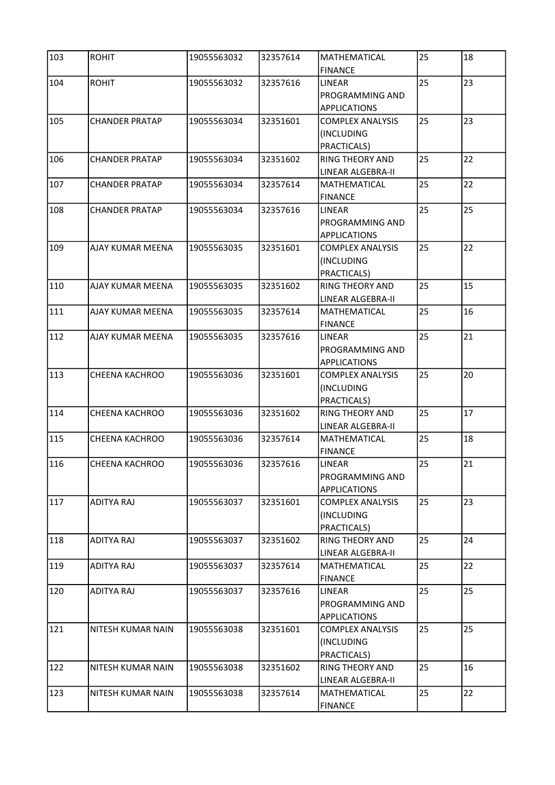| 103 | <b>ROHIT</b>          | 19055563032 | 32357614 | MATHEMATICAL<br><b>FINANCE</b>                          | 25 | 18 |
|-----|-----------------------|-------------|----------|---------------------------------------------------------|----|----|
| 104 | <b>ROHIT</b>          | 19055563032 | 32357616 | <b>LINEAR</b><br>PROGRAMMING AND<br><b>APPLICATIONS</b> | 25 | 23 |
| 105 | <b>CHANDER PRATAP</b> | 19055563034 | 32351601 | <b>COMPLEX ANALYSIS</b><br>(INCLUDING<br>PRACTICALS)    | 25 | 23 |
| 106 | <b>CHANDER PRATAP</b> | 19055563034 | 32351602 | <b>RING THEORY AND</b><br>LINEAR ALGEBRA-II             | 25 | 22 |
| 107 | <b>CHANDER PRATAP</b> | 19055563034 | 32357614 | MATHEMATICAL<br><b>FINANCE</b>                          | 25 | 22 |
| 108 | <b>CHANDER PRATAP</b> | 19055563034 | 32357616 | <b>LINEAR</b><br>PROGRAMMING AND<br><b>APPLICATIONS</b> | 25 | 25 |
| 109 | AJAY KUMAR MEENA      | 19055563035 | 32351601 | <b>COMPLEX ANALYSIS</b><br>(INCLUDING<br>PRACTICALS)    | 25 | 22 |
| 110 | AJAY KUMAR MEENA      | 19055563035 | 32351602 | <b>RING THEORY AND</b><br><b>LINEAR ALGEBRA-II</b>      | 25 | 15 |
| 111 | AJAY KUMAR MEENA      | 19055563035 | 32357614 | MATHEMATICAL<br><b>FINANCE</b>                          | 25 | 16 |
| 112 | AJAY KUMAR MEENA      | 19055563035 | 32357616 | <b>LINEAR</b><br>PROGRAMMING AND<br><b>APPLICATIONS</b> | 25 | 21 |
| 113 | <b>CHEENA KACHROO</b> | 19055563036 | 32351601 | <b>COMPLEX ANALYSIS</b><br>(INCLUDING<br>PRACTICALS)    | 25 | 20 |
| 114 | <b>CHEENA KACHROO</b> | 19055563036 | 32351602 | <b>RING THEORY AND</b><br>LINEAR ALGEBRA-II             | 25 | 17 |
| 115 | CHEENA KACHROO        | 19055563036 | 32357614 | MATHEMATICAL<br><b>FINANCE</b>                          | 25 | 18 |
| 116 | CHEENA KACHROO        | 19055563036 | 32357616 | LINEAR<br>PROGRAMMING AND<br><b>APPLICATIONS</b>        | 25 | 21 |
| 117 | ADITYA RAJ            | 19055563037 | 32351601 | <b>COMPLEX ANALYSIS</b><br>(INCLUDING<br>PRACTICALS)    | 25 | 23 |
| 118 | ADITYA RAJ            | 19055563037 | 32351602 | <b>RING THEORY AND</b><br>LINEAR ALGEBRA-II             | 25 | 24 |
| 119 | ADITYA RAJ            | 19055563037 | 32357614 | MATHEMATICAL<br><b>FINANCE</b>                          | 25 | 22 |
| 120 | ADITYA RAJ            | 19055563037 | 32357616 | <b>LINEAR</b><br>PROGRAMMING AND<br><b>APPLICATIONS</b> | 25 | 25 |
| 121 | NITESH KUMAR NAIN     | 19055563038 | 32351601 | <b>COMPLEX ANALYSIS</b><br>(INCLUDING<br>PRACTICALS)    | 25 | 25 |
| 122 | NITESH KUMAR NAIN     | 19055563038 | 32351602 | <b>RING THEORY AND</b><br>LINEAR ALGEBRA-II             | 25 | 16 |
| 123 | NITESH KUMAR NAIN     | 19055563038 | 32357614 | MATHEMATICAL<br><b>FINANCE</b>                          | 25 | 22 |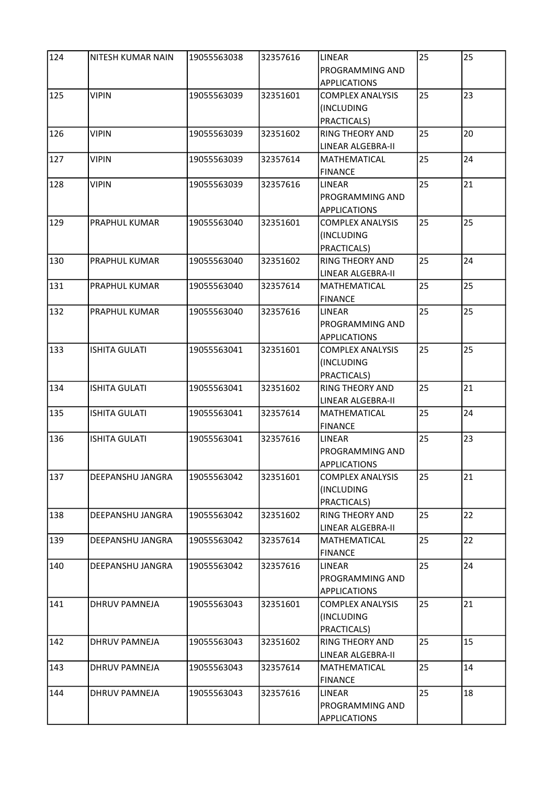| 124 | NITESH KUMAR NAIN    | 19055563038 | 32357616 | LINEAR                                         | 25 | 25 |
|-----|----------------------|-------------|----------|------------------------------------------------|----|----|
|     |                      |             |          | PROGRAMMING AND<br><b>APPLICATIONS</b>         |    |    |
| 125 | <b>VIPIN</b>         | 19055563039 | 32351601 | <b>COMPLEX ANALYSIS</b>                        | 25 | 23 |
|     |                      |             |          | (INCLUDING                                     |    |    |
|     |                      |             |          | PRACTICALS)                                    |    |    |
| 126 | <b>VIPIN</b>         | 19055563039 | 32351602 | RING THEORY AND                                | 25 | 20 |
|     |                      |             |          | LINEAR ALGEBRA-II                              |    |    |
| 127 | <b>VIPIN</b>         | 19055563039 | 32357614 | <b>MATHEMATICAL</b>                            | 25 | 24 |
| 128 | <b>VIPIN</b>         | 19055563039 |          | <b>FINANCE</b><br><b>LINEAR</b>                | 25 | 21 |
|     |                      |             | 32357616 | <b>PROGRAMMING AND</b>                         |    |    |
|     |                      |             |          | <b>APPLICATIONS</b>                            |    |    |
| 129 | PRAPHUL KUMAR        | 19055563040 | 32351601 | <b>COMPLEX ANALYSIS</b>                        | 25 | 25 |
|     |                      |             |          | (INCLUDING                                     |    |    |
|     |                      |             |          | PRACTICALS)                                    |    |    |
| 130 | PRAPHUL KUMAR        | 19055563040 | 32351602 | <b>RING THEORY AND</b>                         | 25 | 24 |
|     |                      |             |          | LINEAR ALGEBRA-II                              |    |    |
| 131 | PRAPHUL KUMAR        | 19055563040 | 32357614 | MATHEMATICAL                                   | 25 | 25 |
|     |                      |             |          | <b>FINANCE</b>                                 |    |    |
| 132 | PRAPHUL KUMAR        | 19055563040 | 32357616 | LINEAR                                         | 25 | 25 |
|     |                      |             |          | PROGRAMMING AND                                |    |    |
|     |                      |             |          | <b>APPLICATIONS</b>                            |    |    |
| 133 | <b>ISHITA GULATI</b> | 19055563041 | 32351601 | <b>COMPLEX ANALYSIS</b>                        | 25 | 25 |
|     |                      |             |          | (INCLUDING                                     |    |    |
|     |                      |             |          | PRACTICALS)                                    |    |    |
| 134 | <b>ISHITA GULATI</b> | 19055563041 | 32351602 | <b>RING THEORY AND</b>                         | 25 | 21 |
| 135 | <b>ISHITA GULATI</b> | 19055563041 | 32357614 | LINEAR ALGEBRA-II<br>MATHEMATICAL              | 25 | 24 |
|     |                      |             |          | <b>FINANCE</b>                                 |    |    |
| 136 | <b>ISHITA GULATI</b> | 19055563041 | 32357616 | LINEAR                                         | 25 | 23 |
|     |                      |             |          | PROGRAMMING AND                                |    |    |
|     |                      |             |          | <b>APPLICATIONS</b>                            |    |    |
| 137 | DEEPANSHU JANGRA     | 19055563042 | 32351601 | <b>COMPLEX ANALYSIS</b>                        | 25 | 21 |
|     |                      |             |          | (INCLUDING                                     |    |    |
|     |                      |             |          | PRACTICALS)                                    |    |    |
| 138 | DEEPANSHU JANGRA     | 19055563042 | 32351602 | <b>RING THEORY AND</b>                         | 25 | 22 |
|     |                      |             |          | LINEAR ALGEBRA-II                              |    |    |
| 139 | DEEPANSHU JANGRA     | 19055563042 | 32357614 | MATHEMATICAL                                   | 25 | 22 |
|     |                      |             |          | <b>FINANCE</b>                                 |    |    |
| 140 | DEEPANSHU JANGRA     | 19055563042 | 32357616 | LINEAR                                         | 25 | 24 |
|     |                      |             |          | PROGRAMMING AND                                |    |    |
| 141 | DHRUV PAMNEJA        | 19055563043 | 32351601 | <b>APPLICATIONS</b><br><b>COMPLEX ANALYSIS</b> | 25 | 21 |
|     |                      |             |          | (INCLUDING                                     |    |    |
|     |                      |             |          | PRACTICALS)                                    |    |    |
| 142 | DHRUV PAMNEJA        | 19055563043 | 32351602 | <b>RING THEORY AND</b>                         | 25 | 15 |
|     |                      |             |          | LINEAR ALGEBRA-II                              |    |    |
| 143 | DHRUV PAMNEJA        | 19055563043 | 32357614 | MATHEMATICAL                                   | 25 | 14 |
|     |                      |             |          | <b>FINANCE</b>                                 |    |    |
| 144 | DHRUV PAMNEJA        | 19055563043 | 32357616 | LINEAR                                         | 25 | 18 |
|     |                      |             |          | PROGRAMMING AND                                |    |    |
|     |                      |             |          | <b>APPLICATIONS</b>                            |    |    |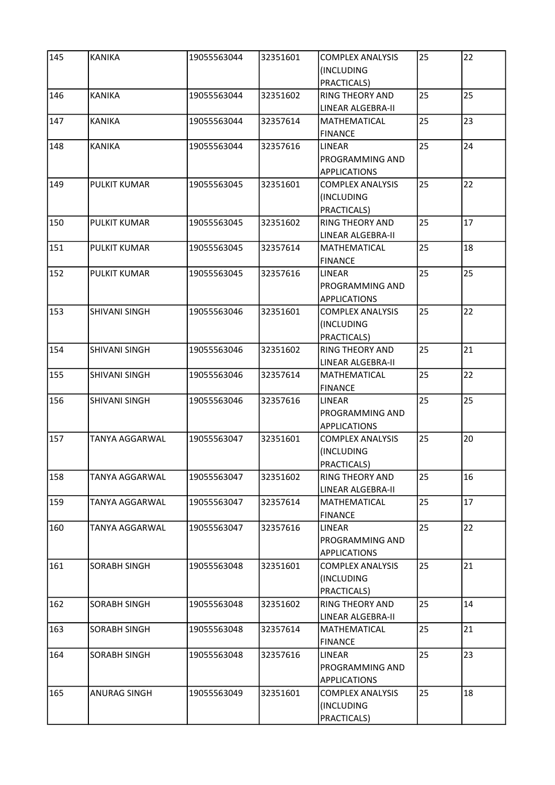| 145 | <b>KANIKA</b>         | 19055563044 | 32351601 | <b>COMPLEX ANALYSIS</b><br>(INCLUDING                   | 25 | 22 |
|-----|-----------------------|-------------|----------|---------------------------------------------------------|----|----|
|     |                       |             |          | PRACTICALS)                                             |    |    |
| 146 | <b>KANIKA</b>         | 19055563044 | 32351602 | <b>RING THEORY AND</b><br><b>LINEAR ALGEBRA-II</b>      | 25 | 25 |
| 147 | KANIKA                | 19055563044 | 32357614 | MATHEMATICAL<br><b>FINANCE</b>                          | 25 | 23 |
| 148 | <b>KANIKA</b>         | 19055563044 | 32357616 | <b>LINEAR</b><br>PROGRAMMING AND<br><b>APPLICATIONS</b> | 25 | 24 |
| 149 | <b>PULKIT KUMAR</b>   | 19055563045 | 32351601 | <b>COMPLEX ANALYSIS</b><br>(INCLUDING<br>PRACTICALS)    | 25 | 22 |
| 150 | PULKIT KUMAR          | 19055563045 | 32351602 | <b>RING THEORY AND</b><br>LINEAR ALGEBRA-II             | 25 | 17 |
| 151 | PULKIT KUMAR          | 19055563045 | 32357614 | MATHEMATICAL<br><b>FINANCE</b>                          | 25 | 18 |
| 152 | PULKIT KUMAR          | 19055563045 | 32357616 | <b>LINEAR</b><br>PROGRAMMING AND<br><b>APPLICATIONS</b> | 25 | 25 |
| 153 | SHIVANI SINGH         | 19055563046 | 32351601 | <b>COMPLEX ANALYSIS</b><br>(INCLUDING<br>PRACTICALS)    | 25 | 22 |
| 154 | SHIVANI SINGH         | 19055563046 | 32351602 | <b>RING THEORY AND</b><br>LINEAR ALGEBRA-II             | 25 | 21 |
| 155 | SHIVANI SINGH         | 19055563046 | 32357614 | MATHEMATICAL<br><b>FINANCE</b>                          | 25 | 22 |
| 156 | SHIVANI SINGH         | 19055563046 | 32357616 | <b>LINEAR</b><br>PROGRAMMING AND<br><b>APPLICATIONS</b> | 25 | 25 |
| 157 | TANYA AGGARWAL        | 19055563047 | 32351601 | <b>COMPLEX ANALYSIS</b><br>(INCLUDING<br>PRACTICALS)    | 25 | 20 |
| 158 | TANYA AGGARWAL        | 19055563047 | 32351602 | <b>RING THEORY AND</b><br>LINEAR ALGEBRA-II             | 25 | 16 |
| 159 | TANYA AGGARWAL        | 19055563047 | 32357614 | MATHEMATICAL<br><b>FINANCE</b>                          | 25 | 17 |
| 160 | <b>TANYA AGGARWAL</b> | 19055563047 | 32357616 | <b>LINEAR</b><br>PROGRAMMING AND<br><b>APPLICATIONS</b> | 25 | 22 |
| 161 | SORABH SINGH          | 19055563048 | 32351601 | <b>COMPLEX ANALYSIS</b><br>(INCLUDING<br>PRACTICALS)    | 25 | 21 |
| 162 | SORABH SINGH          | 19055563048 | 32351602 | <b>RING THEORY AND</b><br>LINEAR ALGEBRA-II             | 25 | 14 |
| 163 | SORABH SINGH          | 19055563048 | 32357614 | <b>MATHEMATICAL</b><br><b>FINANCE</b>                   | 25 | 21 |
| 164 | SORABH SINGH          | 19055563048 | 32357616 | LINEAR<br>PROGRAMMING AND<br><b>APPLICATIONS</b>        | 25 | 23 |
| 165 | <b>ANURAG SINGH</b>   | 19055563049 | 32351601 | <b>COMPLEX ANALYSIS</b><br>(INCLUDING<br>PRACTICALS)    | 25 | 18 |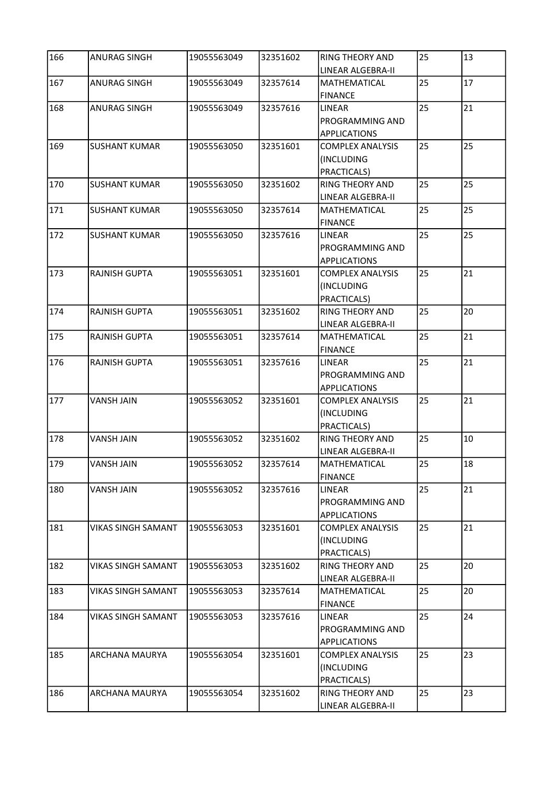| 166 | <b>ANURAG SINGH</b>       | 19055563049 | 32351602 | <b>RING THEORY AND</b><br>LINEAR ALGEBRA-II                    | 25 | 13 |
|-----|---------------------------|-------------|----------|----------------------------------------------------------------|----|----|
| 167 | <b>ANURAG SINGH</b>       | 19055563049 | 32357614 | <b>MATHEMATICAL</b><br><b>FINANCE</b>                          | 25 | 17 |
| 168 | <b>ANURAG SINGH</b>       | 19055563049 | 32357616 | <b>LINEAR</b><br><b>PROGRAMMING AND</b><br><b>APPLICATIONS</b> | 25 | 21 |
| 169 | <b>SUSHANT KUMAR</b>      | 19055563050 | 32351601 | <b>COMPLEX ANALYSIS</b><br>(INCLUDING<br>PRACTICALS)           | 25 | 25 |
| 170 | <b>SUSHANT KUMAR</b>      | 19055563050 | 32351602 | <b>RING THEORY AND</b><br>LINEAR ALGEBRA-II                    | 25 | 25 |
| 171 | <b>SUSHANT KUMAR</b>      | 19055563050 | 32357614 | MATHEMATICAL<br><b>FINANCE</b>                                 | 25 | 25 |
| 172 | <b>SUSHANT KUMAR</b>      | 19055563050 | 32357616 | <b>LINEAR</b><br>PROGRAMMING AND<br><b>APPLICATIONS</b>        | 25 | 25 |
| 173 | <b>RAJNISH GUPTA</b>      | 19055563051 | 32351601 | <b>COMPLEX ANALYSIS</b><br>(INCLUDING<br>PRACTICALS)           | 25 | 21 |
| 174 | RAJNISH GUPTA             | 19055563051 | 32351602 | <b>RING THEORY AND</b><br>LINEAR ALGEBRA-II                    | 25 | 20 |
| 175 | <b>RAJNISH GUPTA</b>      | 19055563051 | 32357614 | MATHEMATICAL<br><b>FINANCE</b>                                 | 25 | 21 |
| 176 | RAJNISH GUPTA             | 19055563051 | 32357616 | <b>LINEAR</b><br>PROGRAMMING AND<br><b>APPLICATIONS</b>        | 25 | 21 |
| 177 | <b>VANSH JAIN</b>         | 19055563052 | 32351601 | <b>COMPLEX ANALYSIS</b><br>(INCLUDING<br>PRACTICALS)           | 25 | 21 |
| 178 | <b>VANSH JAIN</b>         | 19055563052 | 32351602 | <b>RING THEORY AND</b><br>LINEAR ALGEBRA-II                    | 25 | 10 |
| 179 | <b>VANSH JAIN</b>         | 19055563052 | 32357614 | MATHEMATICAL<br><b>FINANCE</b>                                 | 25 | 18 |
| 180 | VANSH JAIN                | 19055563052 | 32357616 | LINEAR<br>PROGRAMMING AND<br><b>APPLICATIONS</b>               | 25 | 21 |
| 181 | <b>VIKAS SINGH SAMANT</b> | 19055563053 | 32351601 | <b>COMPLEX ANALYSIS</b><br>(INCLUDING<br>PRACTICALS)           | 25 | 21 |
| 182 | VIKAS SINGH SAMANT        | 19055563053 | 32351602 | <b>RING THEORY AND</b><br>LINEAR ALGEBRA-II                    | 25 | 20 |
| 183 | <b>VIKAS SINGH SAMANT</b> | 19055563053 | 32357614 | <b>MATHEMATICAL</b><br><b>FINANCE</b>                          | 25 | 20 |
| 184 | <b>VIKAS SINGH SAMANT</b> | 19055563053 | 32357616 | LINEAR<br>PROGRAMMING AND<br><b>APPLICATIONS</b>               | 25 | 24 |
| 185 | ARCHANA MAURYA            | 19055563054 | 32351601 | <b>COMPLEX ANALYSIS</b><br>(INCLUDING<br>PRACTICALS)           | 25 | 23 |
| 186 | ARCHANA MAURYA            | 19055563054 | 32351602 | <b>RING THEORY AND</b><br>LINEAR ALGEBRA-II                    | 25 | 23 |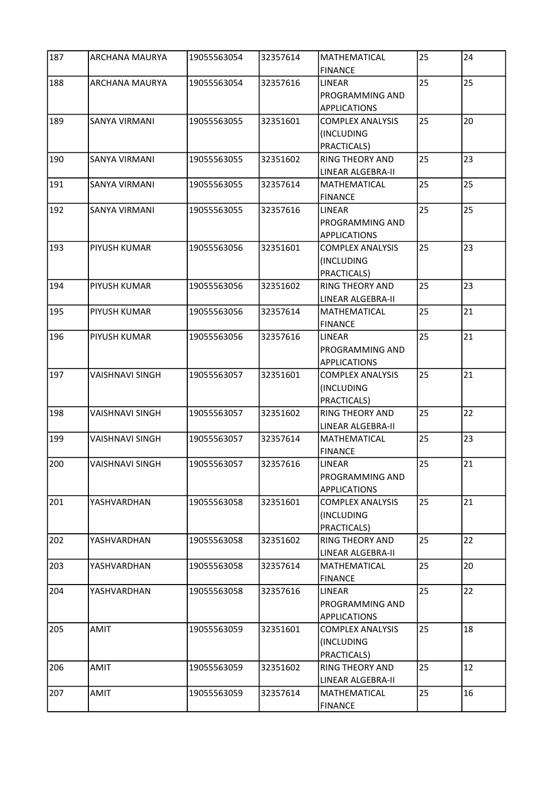| 187 | ARCHANA MAURYA         | 19055563054 | 32357614 | MATHEMATICAL<br><b>FINANCE</b>                          | 25 | 24 |
|-----|------------------------|-------------|----------|---------------------------------------------------------|----|----|
| 188 | <b>ARCHANA MAURYA</b>  | 19055563054 | 32357616 | <b>LINEAR</b><br>PROGRAMMING AND<br><b>APPLICATIONS</b> | 25 | 25 |
| 189 | <b>SANYA VIRMANI</b>   | 19055563055 | 32351601 | <b>COMPLEX ANALYSIS</b><br>(INCLUDING<br>PRACTICALS)    | 25 | 20 |
| 190 | <b>SANYA VIRMANI</b>   | 19055563055 | 32351602 | <b>RING THEORY AND</b><br>LINEAR ALGEBRA-II             | 25 | 23 |
| 191 | <b>SANYA VIRMANI</b>   | 19055563055 | 32357614 | MATHEMATICAL<br><b>FINANCE</b>                          | 25 | 25 |
| 192 | SANYA VIRMANI          | 19055563055 | 32357616 | <b>LINEAR</b><br>PROGRAMMING AND<br><b>APPLICATIONS</b> | 25 | 25 |
| 193 | PIYUSH KUMAR           | 19055563056 | 32351601 | <b>COMPLEX ANALYSIS</b><br>(INCLUDING<br>PRACTICALS)    | 25 | 23 |
| 194 | PIYUSH KUMAR           | 19055563056 | 32351602 | <b>RING THEORY AND</b><br><b>LINEAR ALGEBRA-II</b>      | 25 | 23 |
| 195 | PIYUSH KUMAR           | 19055563056 | 32357614 | MATHEMATICAL<br><b>FINANCE</b>                          | 25 | 21 |
| 196 | PIYUSH KUMAR           | 19055563056 | 32357616 | <b>LINEAR</b><br>PROGRAMMING AND<br><b>APPLICATIONS</b> | 25 | 21 |
| 197 | <b>VAISHNAVI SINGH</b> | 19055563057 | 32351601 | <b>COMPLEX ANALYSIS</b><br>(INCLUDING<br>PRACTICALS)    | 25 | 21 |
| 198 | <b>VAISHNAVI SINGH</b> | 19055563057 | 32351602 | <b>RING THEORY AND</b><br>LINEAR ALGEBRA-II             | 25 | 22 |
| 199 | <b>VAISHNAVI SINGH</b> | 19055563057 | 32357614 | MATHEMATICAL<br><b>FINANCE</b>                          | 25 | 23 |
| 200 | VAISHNAVI SINGH        | 19055563057 | 32357616 | LINEAR<br>PROGRAMMING AND<br><b>APPLICATIONS</b>        | 25 | 21 |
| 201 | YASHVARDHAN            | 19055563058 | 32351601 | <b>COMPLEX ANALYSIS</b><br>(INCLUDING<br>PRACTICALS)    | 25 | 21 |
| 202 | YASHVARDHAN            | 19055563058 | 32351602 | <b>RING THEORY AND</b><br>LINEAR ALGEBRA-II             | 25 | 22 |
| 203 | YASHVARDHAN            | 19055563058 | 32357614 | MATHEMATICAL<br><b>FINANCE</b>                          | 25 | 20 |
| 204 | YASHVARDHAN            | 19055563058 | 32357616 | <b>LINEAR</b><br>PROGRAMMING AND<br><b>APPLICATIONS</b> | 25 | 22 |
| 205 | AMIT                   | 19055563059 | 32351601 | <b>COMPLEX ANALYSIS</b><br>(INCLUDING<br>PRACTICALS)    | 25 | 18 |
| 206 | AMIT                   | 19055563059 | 32351602 | <b>RING THEORY AND</b><br>LINEAR ALGEBRA-II             | 25 | 12 |
| 207 | AMIT                   | 19055563059 | 32357614 | MATHEMATICAL<br><b>FINANCE</b>                          | 25 | 16 |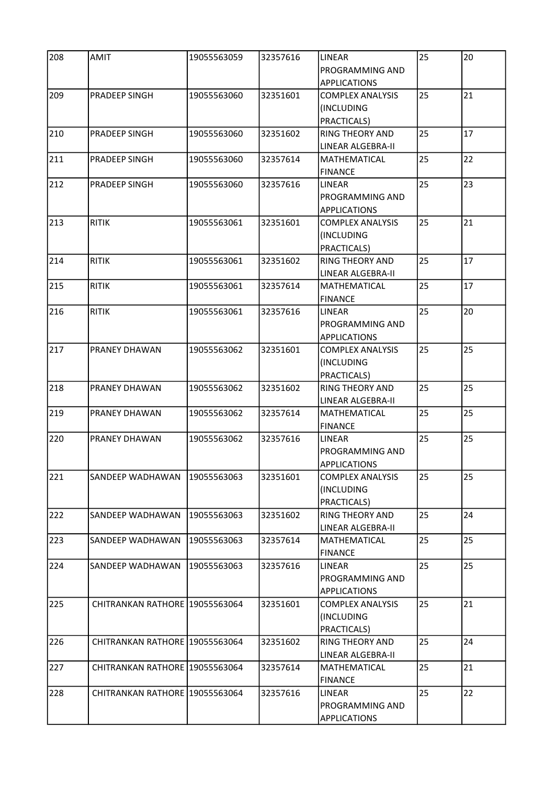| 208 | <b>AMIT</b>                    | 19055563059 | 32357616 | LINEAR                                      | 25 | 20 |
|-----|--------------------------------|-------------|----------|---------------------------------------------|----|----|
|     |                                |             |          | PROGRAMMING AND<br><b>APPLICATIONS</b>      |    |    |
| 209 | PRADEEP SINGH                  | 19055563060 | 32351601 | <b>COMPLEX ANALYSIS</b>                     | 25 | 21 |
|     |                                |             |          | (INCLUDING                                  |    |    |
|     |                                |             |          | PRACTICALS)                                 |    |    |
| 210 | PRADEEP SINGH                  | 19055563060 | 32351602 | RING THEORY AND                             | 25 | 17 |
|     |                                |             |          | LINEAR ALGEBRA-II                           |    |    |
| 211 | PRADEEP SINGH                  | 19055563060 | 32357614 | MATHEMATICAL                                | 25 | 22 |
|     |                                |             |          | <b>FINANCE</b>                              |    |    |
| 212 | PRADEEP SINGH                  | 19055563060 | 32357616 | LINEAR                                      | 25 | 23 |
|     |                                |             |          | <b>PROGRAMMING AND</b>                      |    |    |
|     | <b>RITIK</b>                   |             |          | <b>APPLICATIONS</b>                         | 25 | 21 |
| 213 |                                | 19055563061 | 32351601 | <b>COMPLEX ANALYSIS</b>                     |    |    |
|     |                                |             |          | (INCLUDING<br>PRACTICALS)                   |    |    |
| 214 | <b>RITIK</b>                   | 19055563061 | 32351602 | <b>RING THEORY AND</b>                      | 25 | 17 |
|     |                                |             |          | LINEAR ALGEBRA-II                           |    |    |
| 215 | <b>RITIK</b>                   | 19055563061 | 32357614 | MATHEMATICAL                                | 25 | 17 |
|     |                                |             |          | <b>FINANCE</b>                              |    |    |
| 216 | <b>RITIK</b>                   | 19055563061 | 32357616 | LINEAR                                      | 25 | 20 |
|     |                                |             |          | PROGRAMMING AND                             |    |    |
|     |                                |             |          | <b>APPLICATIONS</b>                         |    |    |
| 217 | PRANEY DHAWAN                  | 19055563062 | 32351601 | <b>COMPLEX ANALYSIS</b>                     | 25 | 25 |
|     |                                |             |          | (INCLUDING                                  |    |    |
|     |                                |             |          | PRACTICALS)                                 |    |    |
| 218 | PRANEY DHAWAN                  | 19055563062 | 32351602 | <b>RING THEORY AND</b>                      | 25 | 25 |
|     |                                |             |          | LINEAR ALGEBRA-II                           |    |    |
| 219 | PRANEY DHAWAN                  | 19055563062 | 32357614 | MATHEMATICAL                                | 25 | 25 |
|     |                                |             |          | <b>FINANCE</b>                              |    |    |
| 220 | PRANEY DHAWAN                  | 19055563062 | 32357616 | <b>LINEAR</b>                               | 25 | 25 |
|     |                                |             |          | PROGRAMMING AND                             |    |    |
|     |                                |             |          | <b>APPLICATIONS</b>                         |    |    |
| 221 | SANDEEP WADHAWAN               | 19055563063 | 32351601 | <b>COMPLEX ANALYSIS</b>                     | 25 | 25 |
|     |                                |             |          | (INCLUDING                                  |    |    |
| 222 |                                | 19055563063 | 32351602 | PRACTICALS)                                 | 25 | 24 |
|     | SANDEEP WADHAWAN               |             |          | <b>RING THEORY AND</b><br>LINEAR ALGEBRA-II |    |    |
| 223 | SANDEEP WADHAWAN               | 19055563063 | 32357614 | <b>MATHEMATICAL</b>                         | 25 | 25 |
|     |                                |             |          | <b>FINANCE</b>                              |    |    |
| 224 | SANDEEP WADHAWAN               | 19055563063 | 32357616 | LINEAR                                      | 25 | 25 |
|     |                                |             |          | PROGRAMMING AND                             |    |    |
|     |                                |             |          | <b>APPLICATIONS</b>                         |    |    |
| 225 | CHITRANKAN RATHORE 19055563064 |             | 32351601 | <b>COMPLEX ANALYSIS</b>                     | 25 | 21 |
|     |                                |             |          | (INCLUDING                                  |    |    |
|     |                                |             |          | PRACTICALS)                                 |    |    |
| 226 | CHITRANKAN RATHORE 19055563064 |             | 32351602 | <b>RING THEORY AND</b>                      | 25 | 24 |
|     |                                |             |          | LINEAR ALGEBRA-II                           |    |    |
| 227 | CHITRANKAN RATHORE 19055563064 |             | 32357614 | MATHEMATICAL                                | 25 | 21 |
|     |                                |             |          | <b>FINANCE</b>                              |    |    |
| 228 | CHITRANKAN RATHORE 19055563064 |             | 32357616 | LINEAR                                      | 25 | 22 |
|     |                                |             |          | PROGRAMMING AND                             |    |    |
|     |                                |             |          | <b>APPLICATIONS</b>                         |    |    |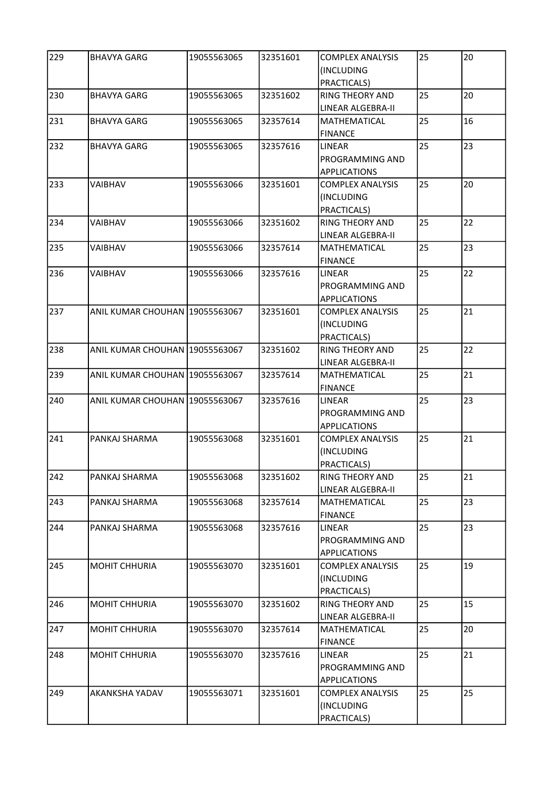| 229 | <b>BHAVYA GARG</b>             | 19055563065 | 32351601 | <b>COMPLEX ANALYSIS</b><br>(INCLUDING<br>PRACTICALS)    | 25 | 20 |
|-----|--------------------------------|-------------|----------|---------------------------------------------------------|----|----|
| 230 | <b>BHAVYA GARG</b>             | 19055563065 | 32351602 | <b>RING THEORY AND</b><br>LINEAR ALGEBRA-II             | 25 | 20 |
| 231 | <b>BHAVYA GARG</b>             | 19055563065 | 32357614 | MATHEMATICAL<br><b>FINANCE</b>                          | 25 | 16 |
| 232 | <b>BHAVYA GARG</b>             | 19055563065 | 32357616 | <b>LINEAR</b><br>PROGRAMMING AND<br><b>APPLICATIONS</b> | 25 | 23 |
| 233 | <b>VAIBHAV</b>                 | 19055563066 | 32351601 | <b>COMPLEX ANALYSIS</b><br>(INCLUDING<br>PRACTICALS)    | 25 | 20 |
| 234 | VAIBHAV                        | 19055563066 | 32351602 | <b>RING THEORY AND</b><br>LINEAR ALGEBRA-II             | 25 | 22 |
| 235 | VAIBHAV                        | 19055563066 | 32357614 | MATHEMATICAL<br><b>FINANCE</b>                          | 25 | 23 |
| 236 | VAIBHAV                        | 19055563066 | 32357616 | <b>LINEAR</b><br>PROGRAMMING AND<br><b>APPLICATIONS</b> | 25 | 22 |
| 237 | ANIL KUMAR CHOUHAN 19055563067 |             | 32351601 | <b>COMPLEX ANALYSIS</b><br>(INCLUDING<br>PRACTICALS)    | 25 | 21 |
| 238 | ANIL KUMAR CHOUHAN 19055563067 |             | 32351602 | <b>RING THEORY AND</b><br>LINEAR ALGEBRA-II             | 25 | 22 |
| 239 | ANIL KUMAR CHOUHAN 19055563067 |             | 32357614 | <b>MATHEMATICAL</b><br><b>FINANCE</b>                   | 25 | 21 |
| 240 | ANIL KUMAR CHOUHAN 19055563067 |             | 32357616 | LINEAR<br>PROGRAMMING AND<br><b>APPLICATIONS</b>        | 25 | 23 |
| 241 | PANKAJ SHARMA                  | 19055563068 | 32351601 | <b>COMPLEX ANALYSIS</b><br>(INCLUDING<br>PRACTICALS)    | 25 | 21 |
| 242 | PANKAJ SHARMA                  | 19055563068 | 32351602 | RING THEORY AND<br>LINEAR ALGEBRA-II                    | 25 | 21 |
| 243 | PANKAJ SHARMA                  | 19055563068 | 32357614 | MATHEMATICAL<br><b>FINANCE</b>                          | 25 | 23 |
| 244 | PANKAJ SHARMA                  | 19055563068 | 32357616 | <b>LINEAR</b><br>PROGRAMMING AND<br><b>APPLICATIONS</b> | 25 | 23 |
| 245 | MOHIT CHHURIA                  | 19055563070 | 32351601 | <b>COMPLEX ANALYSIS</b><br>(INCLUDING<br>PRACTICALS)    | 25 | 19 |
| 246 | <b>MOHIT CHHURIA</b>           | 19055563070 | 32351602 | <b>RING THEORY AND</b><br>LINEAR ALGEBRA-II             | 25 | 15 |
| 247 | <b>MOHIT CHHURIA</b>           | 19055563070 | 32357614 | MATHEMATICAL<br><b>FINANCE</b>                          | 25 | 20 |
| 248 | MOHIT CHHURIA                  | 19055563070 | 32357616 | LINEAR<br>PROGRAMMING AND<br>APPLICATIONS               | 25 | 21 |
| 249 | AKANKSHA YADAV                 | 19055563071 | 32351601 | <b>COMPLEX ANALYSIS</b><br>(INCLUDING<br>PRACTICALS)    | 25 | 25 |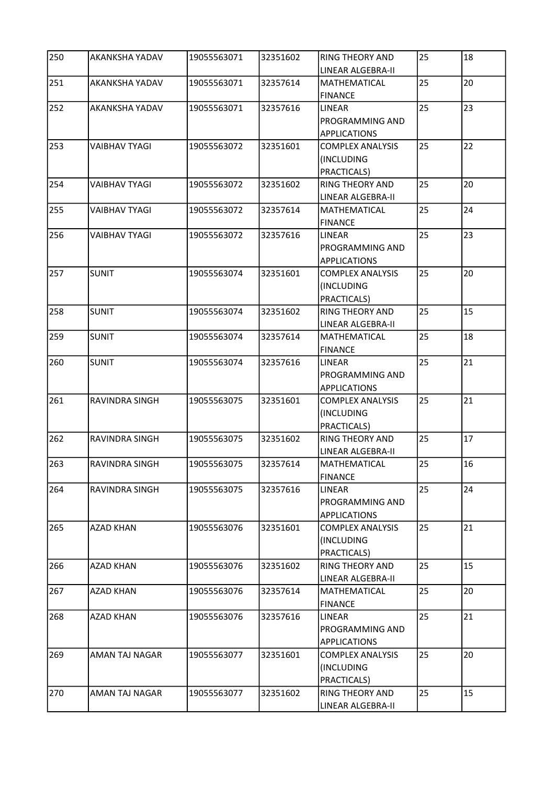| 250 | <b>AKANKSHA YADAV</b> | 19055563071 | 32351602 | <b>RING THEORY AND</b><br>LINEAR ALGEBRA-II                    | 25 | 18 |
|-----|-----------------------|-------------|----------|----------------------------------------------------------------|----|----|
| 251 | AKANKSHA YADAV        | 19055563071 | 32357614 | <b>MATHEMATICAL</b><br><b>FINANCE</b>                          | 25 | 20 |
| 252 | AKANKSHA YADAV        | 19055563071 | 32357616 | <b>LINEAR</b><br><b>PROGRAMMING AND</b><br><b>APPLICATIONS</b> | 25 | 23 |
| 253 | <b>VAIBHAV TYAGI</b>  | 19055563072 | 32351601 | <b>COMPLEX ANALYSIS</b><br>(INCLUDING<br>PRACTICALS)           | 25 | 22 |
| 254 | <b>VAIBHAV TYAGI</b>  | 19055563072 | 32351602 | <b>RING THEORY AND</b><br>LINEAR ALGEBRA-II                    | 25 | 20 |
| 255 | <b>VAIBHAV TYAGI</b>  | 19055563072 | 32357614 | MATHEMATICAL<br><b>FINANCE</b>                                 | 25 | 24 |
| 256 | VAIBHAV TYAGI         | 19055563072 | 32357616 | LINEAR<br>PROGRAMMING AND<br><b>APPLICATIONS</b>               | 25 | 23 |
| 257 | <b>SUNIT</b>          | 19055563074 | 32351601 | <b>COMPLEX ANALYSIS</b><br>(INCLUDING<br>PRACTICALS)           | 25 | 20 |
| 258 | <b>SUNIT</b>          | 19055563074 | 32351602 | <b>RING THEORY AND</b><br>LINEAR ALGEBRA-II                    | 25 | 15 |
| 259 | <b>SUNIT</b>          | 19055563074 | 32357614 | MATHEMATICAL<br><b>FINANCE</b>                                 | 25 | 18 |
| 260 | <b>SUNIT</b>          | 19055563074 | 32357616 | LINEAR<br>PROGRAMMING AND<br><b>APPLICATIONS</b>               | 25 | 21 |
| 261 | RAVINDRA SINGH        | 19055563075 | 32351601 | <b>COMPLEX ANALYSIS</b><br>(INCLUDING<br>PRACTICALS)           | 25 | 21 |
| 262 | RAVINDRA SINGH        | 19055563075 | 32351602 | <b>RING THEORY AND</b><br>LINEAR ALGEBRA-II                    | 25 | 17 |
| 263 | <b>RAVINDRA SINGH</b> | 19055563075 | 32357614 | MATHEMATICAL<br><b>FINANCE</b>                                 | 25 | 16 |
| 264 | RAVINDRA SINGH        | 19055563075 | 32357616 | LINEAR<br>PROGRAMMING AND<br><b>APPLICATIONS</b>               | 25 | 24 |
| 265 | <b>AZAD KHAN</b>      | 19055563076 | 32351601 | <b>COMPLEX ANALYSIS</b><br>(INCLUDING<br>PRACTICALS)           | 25 | 21 |
| 266 | <b>AZAD KHAN</b>      | 19055563076 | 32351602 | <b>RING THEORY AND</b><br>LINEAR ALGEBRA-II                    | 25 | 15 |
| 267 | <b>AZAD KHAN</b>      | 19055563076 | 32357614 | MATHEMATICAL<br><b>FINANCE</b>                                 | 25 | 20 |
| 268 | <b>AZAD KHAN</b>      | 19055563076 | 32357616 | LINEAR<br>PROGRAMMING AND<br><b>APPLICATIONS</b>               | 25 | 21 |
| 269 | AMAN TAJ NAGAR        | 19055563077 | 32351601 | <b>COMPLEX ANALYSIS</b><br>(INCLUDING<br>PRACTICALS)           | 25 | 20 |
| 270 | AMAN TAJ NAGAR        | 19055563077 | 32351602 | <b>RING THEORY AND</b><br>LINEAR ALGEBRA-II                    | 25 | 15 |